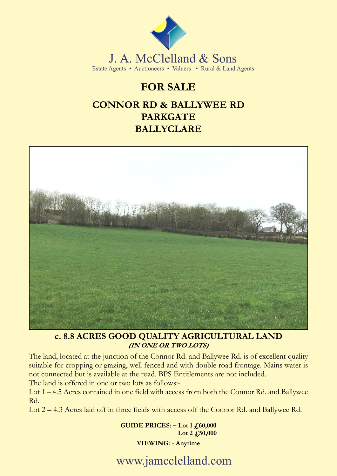

J. A. McClelland & Sons Estate Agents • Auctioneers • Valuers • Rural & Land Agents

## **FOR SALE**

## **CONNOR RD & BALLYWEE RD PARKGATE BALLYCLARE**



# **c. 8.8 ACRES GOOD QUALITY AGRICULTURAL LAND**

The land, located at the junction of the Connor Rd. and Ballywee Rd. is of excellent quality suitable for cropping or grazing, well fenced and with double road frontage. Mains water is not connected but is available at the road. BPS Entitlements are not included.

The land is offered in one or two lots as follows:-

Lot 1 – 4.5 Acres contained in one field with access from both the Connor Rd. and Ballywee Rd.

Lot 2 – 4.3 Acres laid off in three fields with access off the Connor Rd. and Ballywee Rd.

**GUIDE PRICES: - Lot 1 £60,000 Lot 2 £50,000**

### **VIEWING: - Anytime**

www.jamcclelland.com